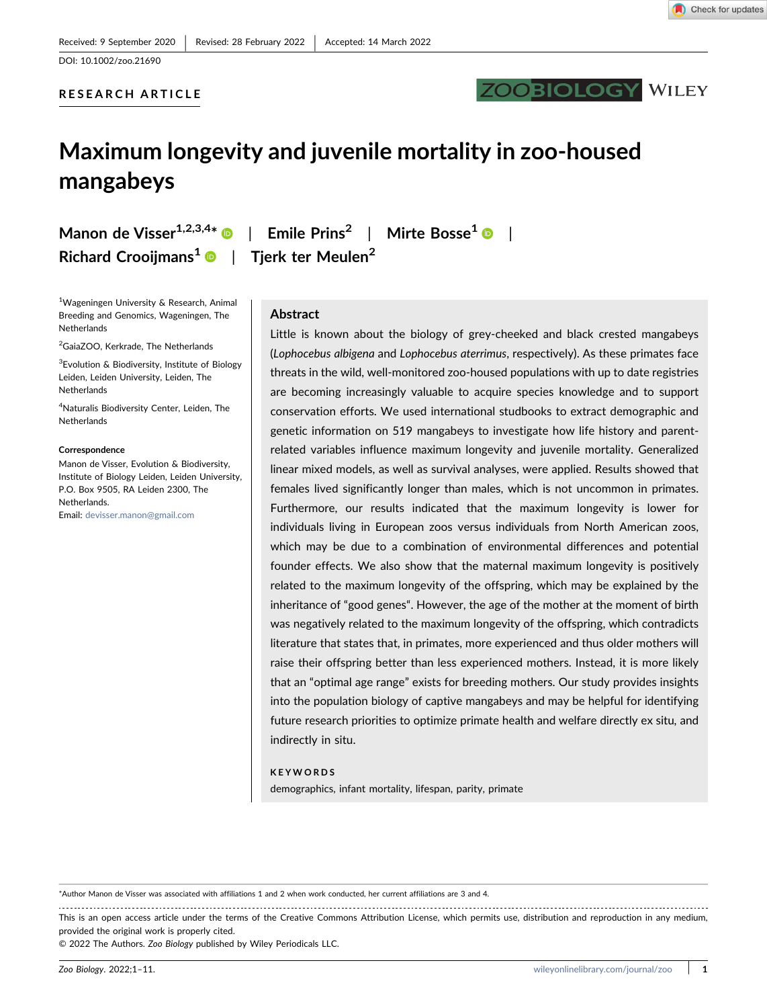RESEARCH ARTICLE



# Maximum longevity and juvenile mortality in zoo‐housed mangabeys

Richard Crooijmans<sup>[1](https://orcid.org/0000-0001-8108-9972)</sup> | Tjerk ter Meulen<sup>2</sup>

<sup>1</sup>Wageningen University & Research, Animal Breeding and Genomics, Wageningen, The Netherlands

<sup>2</sup>GaiaZOO, Kerkrade, The Netherlands

<sup>3</sup> Evolution & Biodiversity, Institute of Biology Leiden, Leiden University, Leiden, The Netherlands

4 Naturalis Biodiversity Center, Leiden, The Netherlands

#### **Correspondence**

Manon de Visser, Evolution & Biodiversity, Institute of Biology Leiden, Leiden University, P.O. Box 9505, RA Leiden 2300, The Netherlands. Email: [devisser.manon@gmail.com](mailto:devisser.manon@gmail.com)

Manon de Visser<sup>[1](https://orcid.org/0000-0003-2433-2483),2,3,4\*</sup>  $\bullet$  | Emile Prins<sup>2</sup> | Mirte Bosse<sup>1</sup>  $\bullet$  |

### Abstract

Little is known about the biology of grey-cheeked and black crested mangabeys (Lophocebus albigena and Lophocebus aterrimus, respectively). As these primates face threats in the wild, well‐monitored zoo‐housed populations with up to date registries are becoming increasingly valuable to acquire species knowledge and to support conservation efforts. We used international studbooks to extract demographic and genetic information on 519 mangabeys to investigate how life history and parent‐ related variables influence maximum longevity and juvenile mortality. Generalized linear mixed models, as well as survival analyses, were applied. Results showed that females lived significantly longer than males, which is not uncommon in primates. Furthermore, our results indicated that the maximum longevity is lower for individuals living in European zoos versus individuals from North American zoos, which may be due to a combination of environmental differences and potential founder effects. We also show that the maternal maximum longevity is positively related to the maximum longevity of the offspring, which may be explained by the inheritance of "good genes". However, the age of the mother at the moment of birth was negatively related to the maximum longevity of the offspring, which contradicts literature that states that, in primates, more experienced and thus older mothers will raise their offspring better than less experienced mothers. Instead, it is more likely that an "optimal age range" exists for breeding mothers. Our study provides insights into the population biology of captive mangabeys and may be helpful for identifying future research priorities to optimize primate health and welfare directly ex situ, and indirectly in situ.

#### KEYWORDS

demographics, infant mortality, lifespan, parity, primate

\*Author Manon de Visser was associated with affiliations 1 and 2 when work conducted, her current affiliations are 3 and 4.

This is an open access article under the terms of the Creative Commons Attribution License, which permits use, distribution and reproduction in any medium, provided the original work is properly cited.

© 2022 The Authors. Zoo Biology published by Wiley Periodicals LLC.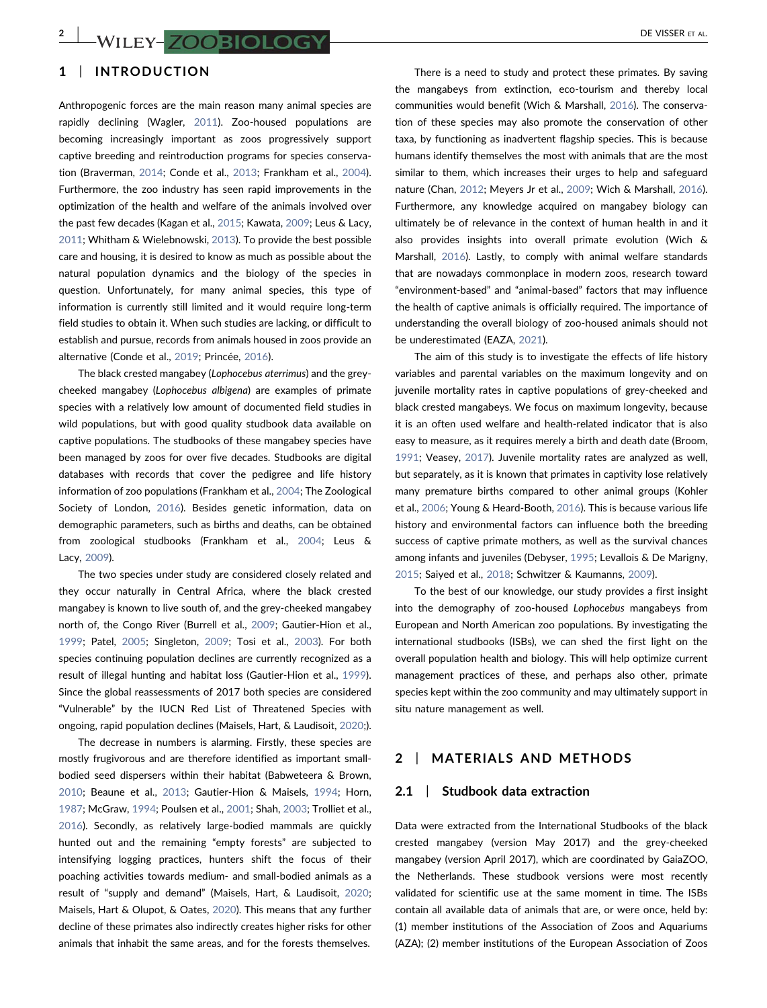## 1 | INTRODUCTION

Anthropogenic forces are the main reason many animal species are rapidly declining (Wagler, [2011](#page-10-0)). Zoo-housed populations are becoming increasingly important as zoos progressively support captive breeding and reintroduction programs for species conservation (Braverman, [2014;](#page-8-0) Conde et al., [2013;](#page-8-1) Frankham et al., [2004](#page-9-0)). Furthermore, the zoo industry has seen rapid improvements in the optimization of the health and welfare of the animals involved over the past few decades (Kagan et al., [2015](#page-9-1); Kawata, [2009](#page-9-2); Leus & Lacy, [2011](#page-9-3); Whitham & Wielebnowski, [2013](#page-10-1)). To provide the best possible care and housing, it is desired to know as much as possible about the natural population dynamics and the biology of the species in question. Unfortunately, for many animal species, this type of information is currently still limited and it would require long‐term field studies to obtain it. When such studies are lacking, or difficult to establish and pursue, records from animals housed in zoos provide an alternative (Conde et al., [2019](#page-8-2); Princée, [2016](#page-10-2)).

The black crested mangabey (Lophocebus aterrimus) and the grey‐ cheeked mangabey (Lophocebus albigena) are examples of primate species with a relatively low amount of documented field studies in wild populations, but with good quality studbook data available on captive populations. The studbooks of these mangabey species have been managed by zoos for over five decades. Studbooks are digital databases with records that cover the pedigree and life history information of zoo populations (Frankham et al., [2004](#page-9-0); The Zoological Society of London, [2016](#page-10-3)). Besides genetic information, data on demographic parameters, such as births and deaths, can be obtained from zoological studbooks (Frankham et al., [2004;](#page-9-0) Leus & Lacy, [2009\)](#page-9-4).

The two species under study are considered closely related and they occur naturally in Central Africa, where the black crested mangabey is known to live south of, and the grey‐cheeked mangabey north of, the Congo River (Burrell et al., [2009;](#page-8-3) Gautier-Hion et al., [1999](#page-9-5); Patel, [2005](#page-9-6); Singleton, [2009;](#page-10-4) Tosi et al., [2003](#page-10-5)). For both species continuing population declines are currently recognized as a result of illegal hunting and habitat loss (Gautier‐Hion et al., [1999](#page-9-5)). Since the global reassessments of 2017 both species are considered "Vulnerable" by the IUCN Red List of Threatened Species with ongoing, rapid population declines (Maisels, Hart, & Laudisoit, [2020](#page-9-7);).

The decrease in numbers is alarming. Firstly, these species are mostly frugivorous and are therefore identified as important small‐ bodied seed dispersers within their habitat (Babweteera & Brown, [2010](#page-8-4); Beaune et al., [2013;](#page-8-5) Gautier‐Hion & Maisels, [1994](#page-9-8); Horn, [1987](#page-9-9); McGraw, [1994](#page-9-10); Poulsen et al., [2001;](#page-10-6) Shah, [2003](#page-10-7); Trolliet et al., [2016](#page-10-8)). Secondly, as relatively large‐bodied mammals are quickly hunted out and the remaining "empty forests" are subjected to intensifying logging practices, hunters shift the focus of their poaching activities towards medium‐ and small‐bodied animals as a result of "supply and demand" (Maisels, Hart, & Laudisoit, [2020](#page-9-7); Maisels, Hart & Olupot, & Oates, [2020\)](#page-9-11). This means that any further decline of these primates also indirectly creates higher risks for other animals that inhabit the same areas, and for the forests themselves.

There is a need to study and protect these primates. By saving the mangabeys from extinction, eco-tourism and thereby local communities would benefit (Wich & Marshall, [2016](#page-10-9)). The conservation of these species may also promote the conservation of other taxa, by functioning as inadvertent flagship species. This is because humans identify themselves the most with animals that are the most similar to them, which increases their urges to help and safeguard nature (Chan, [2012;](#page-8-6) Meyers Jr et al., [2009;](#page-9-12) Wich & Marshall, [2016\)](#page-10-9). Furthermore, any knowledge acquired on mangabey biology can ultimately be of relevance in the context of human health in and it also provides insights into overall primate evolution (Wich & Marshall, [2016\)](#page-10-9). Lastly, to comply with animal welfare standards that are nowadays commonplace in modern zoos, research toward "environment‐based" and "animal‐based" factors that may influence the health of captive animals is officially required. The importance of understanding the overall biology of zoo‐housed animals should not be underestimated (EAZA, [2021](#page-9-13)).

The aim of this study is to investigate the effects of life history variables and parental variables on the maximum longevity and on juvenile mortality rates in captive populations of grey‐cheeked and black crested mangabeys. We focus on maximum longevity, because it is an often used welfare and health‐related indicator that is also easy to measure, as it requires merely a birth and death date (Broom, [1991](#page-8-7); Veasey, [2017\)](#page-10-10). Juvenile mortality rates are analyzed as well, but separately, as it is known that primates in captivity lose relatively many premature births compared to other animal groups (Kohler et al., [2006;](#page-9-14) Young & Heard‐Booth, [2016\)](#page-10-11). This is because various life history and environmental factors can influence both the breeding success of captive primate mothers, as well as the survival chances among infants and juveniles (Debyser, [1995;](#page-8-8) Levallois & De Marigny, [2015](#page-9-15); Saiyed et al., [2018](#page-10-12); Schwitzer & Kaumanns, [2009](#page-10-13)).

To the best of our knowledge, our study provides a first insight into the demography of zoo-housed Lophocebus mangabeys from European and North American zoo populations. By investigating the international studbooks (ISBs), we can shed the first light on the overall population health and biology. This will help optimize current management practices of these, and perhaps also other, primate species kept within the zoo community and may ultimately support in situ nature management as well.

### 2 | MATERIALS AND METHODS

#### 2.1 | Studbook data extraction

Data were extracted from the International Studbooks of the black crested mangabey (version May 2017) and the grey‐cheeked mangabey (version April 2017), which are coordinated by GaiaZOO, the Netherlands. These studbook versions were most recently validated for scientific use at the same moment in time. The ISBs contain all available data of animals that are, or were once, held by: (1) member institutions of the Association of Zoos and Aquariums (AZA); (2) member institutions of the European Association of Zoos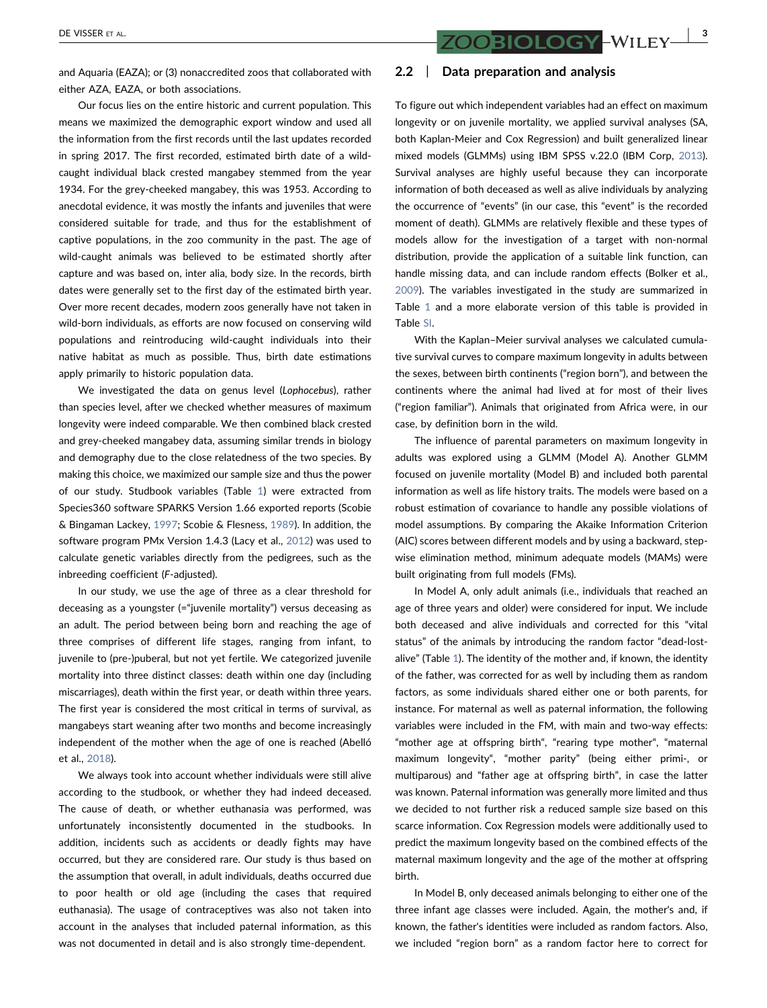and Aquaria (EAZA); or (3) nonaccredited zoos that collaborated with either AZA, EAZA, or both associations.

Our focus lies on the entire historic and current population. This means we maximized the demographic export window and used all the information from the first records until the last updates recorded in spring 2017. The first recorded, estimated birth date of a wild‐ caught individual black crested mangabey stemmed from the year 1934. For the grey‐cheeked mangabey, this was 1953. According to anecdotal evidence, it was mostly the infants and juveniles that were considered suitable for trade, and thus for the establishment of captive populations, in the zoo community in the past. The age of wild-caught animals was believed to be estimated shortly after capture and was based on, inter alia, body size. In the records, birth dates were generally set to the first day of the estimated birth year. Over more recent decades, modern zoos generally have not taken in wild‐born individuals, as efforts are now focused on conserving wild populations and reintroducing wild‐caught individuals into their native habitat as much as possible. Thus, birth date estimations apply primarily to historic population data.

We investigated the data on genus level (Lophocebus), rather than species level, after we checked whether measures of maximum longevity were indeed comparable. We then combined black crested and grey‐cheeked mangabey data, assuming similar trends in biology and demography due to the close relatedness of the two species. By making this choice, we maximized our sample size and thus the power of our study. Studbook variables (Table [1\)](#page-3-0) were extracted from Species360 software SPARKS Version 1.66 exported reports (Scobie & Bingaman Lackey, [1997;](#page-10-14) Scobie & Flesness, [1989\)](#page-10-15). In addition, the software program PMx Version 1.4.3 (Lacy et al., [2012\)](#page-9-16) was used to calculate genetic variables directly from the pedigrees, such as the inbreeding coefficient (F‐adjusted).

In our study, we use the age of three as a clear threshold for deceasing as a youngster (="juvenile mortality") versus deceasing as an adult. The period between being born and reaching the age of three comprises of different life stages, ranging from infant, to juvenile to (pre‐)puberal, but not yet fertile. We categorized juvenile mortality into three distinct classes: death within one day (including miscarriages), death within the first year, or death within three years. The first year is considered the most critical in terms of survival, as mangabeys start weaning after two months and become increasingly independent of the mother when the age of one is reached (Abelló et al., [2018](#page-8-9)).

We always took into account whether individuals were still alive according to the studbook, or whether they had indeed deceased. The cause of death, or whether euthanasia was performed, was unfortunately inconsistently documented in the studbooks. In addition, incidents such as accidents or deadly fights may have occurred, but they are considered rare. Our study is thus based on the assumption that overall, in adult individuals, deaths occurred due to poor health or old age (including the cases that required euthanasia). The usage of contraceptives was also not taken into account in the analyses that included paternal information, as this was not documented in detail and is also strongly time‐dependent.

#### 2.2 | Data preparation and analysis

To figure out which independent variables had an effect on maximum longevity or on juvenile mortality, we applied survival analyses (SA, both Kaplan‐Meier and Cox Regression) and built generalized linear mixed models (GLMMs) using IBM SPSS v.22.0 (IBM Corp, [2013\)](#page-9-17). Survival analyses are highly useful because they can incorporate information of both deceased as well as alive individuals by analyzing the occurrence of "events" (in our case, this "event" is the recorded moment of death). GLMMs are relatively flexible and these types of models allow for the investigation of a target with non‐normal distribution, provide the application of a suitable link function, can handle missing data, and can include random effects (Bolker et al., [2009](#page-8-10)). The variables investigated in the study are summarized in Table [1](#page-3-0) and a more elaborate version of this table is provided in Table SI.

With the Kaplan–Meier survival analyses we calculated cumulative survival curves to compare maximum longevity in adults between the sexes, between birth continents ("region born"), and between the continents where the animal had lived at for most of their lives ("region familiar"). Animals that originated from Africa were, in our case, by definition born in the wild.

The influence of parental parameters on maximum longevity in adults was explored using a GLMM (Model A). Another GLMM focused on juvenile mortality (Model B) and included both parental information as well as life history traits. The models were based on a robust estimation of covariance to handle any possible violations of model assumptions. By comparing the Akaike Information Criterion (AIC) scores between different models and by using a backward, step‐ wise elimination method, minimum adequate models (MAMs) were built originating from full models (FMs).

In Model A, only adult animals (i.e., individuals that reached an age of three years and older) were considered for input. We include both deceased and alive individuals and corrected for this "vital status" of the animals by introducing the random factor "dead‐lost‐ alive" (Table [1](#page-3-0)). The identity of the mother and, if known, the identity of the father, was corrected for as well by including them as random factors, as some individuals shared either one or both parents, for instance. For maternal as well as paternal information, the following variables were included in the FM, with main and two-way effects: "mother age at offspring birth", "rearing type mother", "maternal maximum longevity", "mother parity" (being either primi‐, or multiparous) and "father age at offspring birth", in case the latter was known. Paternal information was generally more limited and thus we decided to not further risk a reduced sample size based on this scarce information. Cox Regression models were additionally used to predict the maximum longevity based on the combined effects of the maternal maximum longevity and the age of the mother at offspring birth.

In Model B, only deceased animals belonging to either one of the three infant age classes were included. Again, the mother's and, if known, the father's identities were included as random factors. Also, we included "region born" as a random factor here to correct for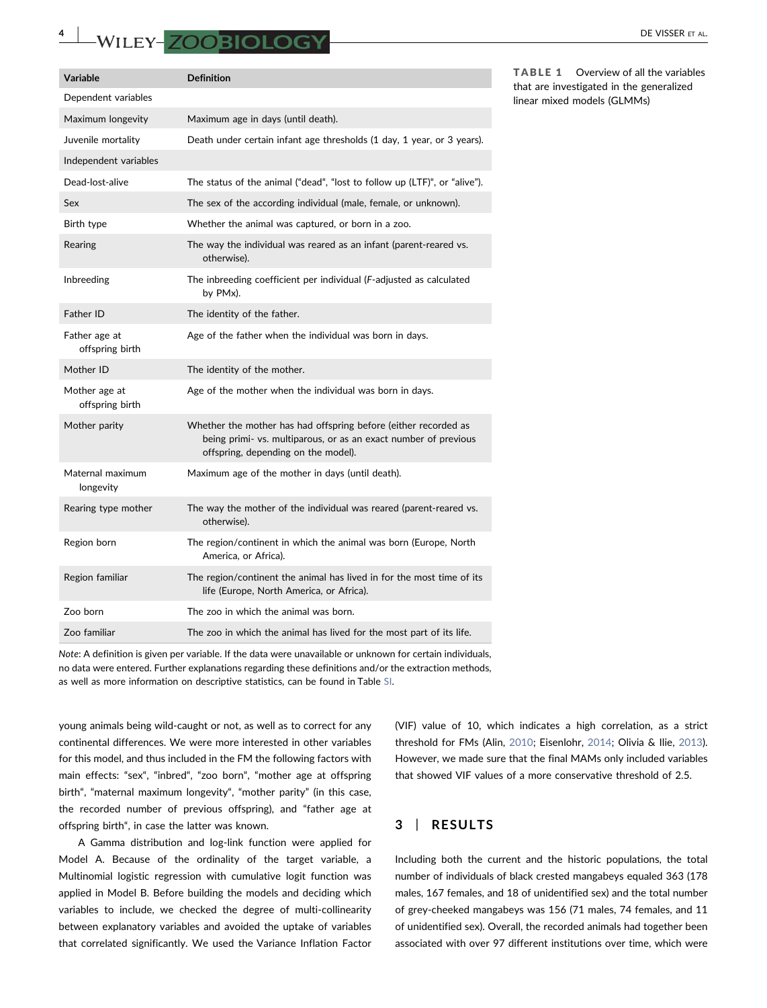# A WILEY-ZOOBIOLOGY DE VISSER ET AL.

| Variable                         | <b>Definition</b>                                                                                                                                                         |
|----------------------------------|---------------------------------------------------------------------------------------------------------------------------------------------------------------------------|
| Dependent variables              |                                                                                                                                                                           |
| Maximum longevity                | Maximum age in days (until death).                                                                                                                                        |
| Juvenile mortality               | Death under certain infant age thresholds (1 day, 1 year, or 3 years).                                                                                                    |
| Independent variables            |                                                                                                                                                                           |
| Dead-lost-alive                  | The status of the animal ("dead", "lost to follow up (LTF)", or "alive").                                                                                                 |
| Sex                              | The sex of the according individual (male, female, or unknown).                                                                                                           |
| Birth type                       | Whether the animal was captured, or born in a zoo.                                                                                                                        |
| Rearing                          | The way the individual was reared as an infant (parent-reared vs.<br>otherwise).                                                                                          |
| Inbreeding                       | The inbreeding coefficient per individual (F-adjusted as calculated<br>by PMx).                                                                                           |
| Father ID                        | The identity of the father.                                                                                                                                               |
| Father age at<br>offspring birth | Age of the father when the individual was born in days.                                                                                                                   |
| Mother ID                        | The identity of the mother.                                                                                                                                               |
| Mother age at<br>offspring birth | Age of the mother when the individual was born in days.                                                                                                                   |
| Mother parity                    | Whether the mother has had offspring before (either recorded as<br>being primi- vs. multiparous, or as an exact number of previous<br>offspring, depending on the model). |
| Maternal maximum<br>longevity    | Maximum age of the mother in days (until death).                                                                                                                          |
| Rearing type mother              | The way the mother of the individual was reared (parent-reared vs.<br>otherwise).                                                                                         |
| Region born                      | The region/continent in which the animal was born (Europe, North<br>America, or Africa).                                                                                  |
| Region familiar                  | The region/continent the animal has lived in for the most time of its<br>life (Europe, North America, or Africa).                                                         |
| Zoo born                         | The zoo in which the animal was born.                                                                                                                                     |
| Zoo familiar                     | The zoo in which the animal has lived for the most part of its life.                                                                                                      |

Note: A definition is given per variable. If the data were unavailable or unknown for certain individuals, no data were entered. Further explanations regarding these definitions and/or the extraction methods, as well as more information on descriptive statistics, can be found in Table SI.

young animals being wild‐caught or not, as well as to correct for any continental differences. We were more interested in other variables for this model, and thus included in the FM the following factors with main effects: "sex", "inbred", "zoo born", "mother age at offspring birth", "maternal maximum longevity", "mother parity" (in this case, the recorded number of previous offspring), and "father age at offspring birth", in case the latter was known.

A Gamma distribution and log‐link function were applied for Model A. Because of the ordinality of the target variable, a Multinomial logistic regression with cumulative logit function was applied in Model B. Before building the models and deciding which variables to include, we checked the degree of multi‐collinearity between explanatory variables and avoided the uptake of variables that correlated significantly. We used the Variance Inflation Factor (VIF) value of 10, which indicates a high correlation, as a strict threshold for FMs (Alin, [2010](#page-8-11); Eisenlohr, [2014;](#page-9-18) Olivia & Ilie, [2013\)](#page-9-19). However, we made sure that the final MAMs only included variables that showed VIF values of a more conservative threshold of 2.5.

# 3 | RESULTS

Including both the current and the historic populations, the total number of individuals of black crested mangabeys equaled 363 (178 males, 167 females, and 18 of unidentified sex) and the total number of grey-cheeked mangabeys was 156 (71 males, 74 females, and 11 of unidentified sex). Overall, the recorded animals had together been associated with over 97 different institutions over time, which were

<span id="page-3-0"></span>TABLE 1 Overview of all the variables that are investigated in the generalized linear mixed models (GLMMs)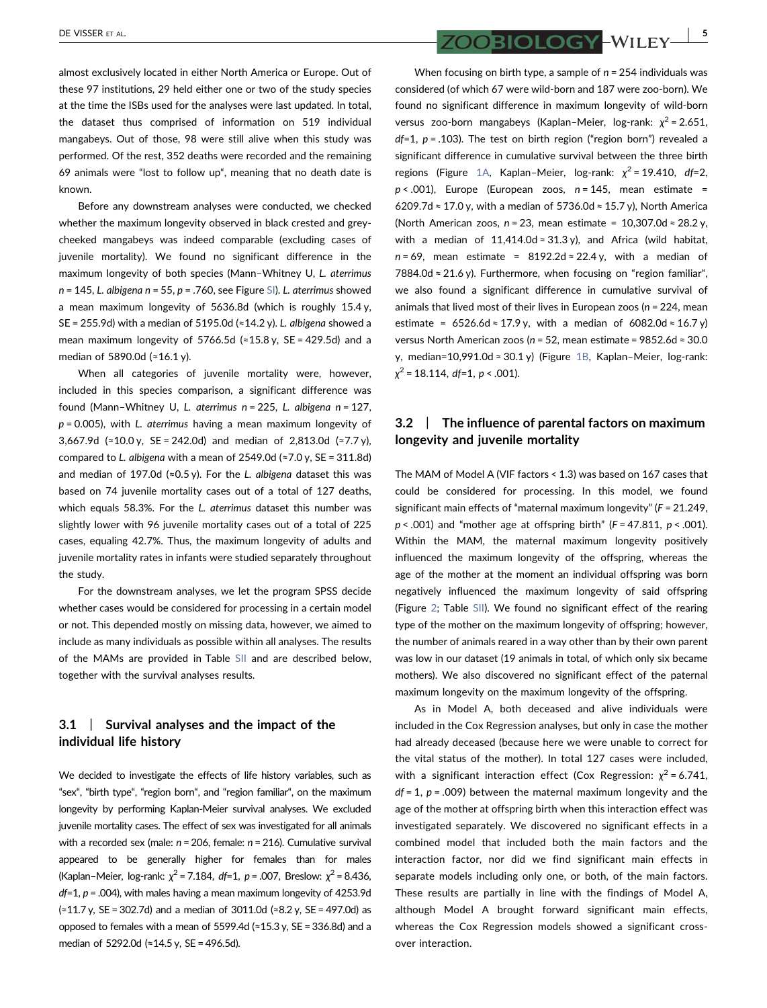almost exclusively located in either North America or Europe. Out of these 97 institutions, 29 held either one or two of the study species at the time the ISBs used for the analyses were last updated. In total, the dataset thus comprised of information on 519 individual mangabeys. Out of those, 98 were still alive when this study was performed. Of the rest, 352 deaths were recorded and the remaining 69 animals were "lost to follow up", meaning that no death date is known.

Before any downstream analyses were conducted, we checked whether the maximum longevity observed in black crested and grey‐ cheeked mangabeys was indeed comparable (excluding cases of juvenile mortality). We found no significant difference in the maximum longevity of both species (Mann–Whitney U, L. aterrimus  $n = 145$ , L. albigena  $n = 55$ ,  $p = .760$ , see Figure SI). L. aterrimus showed a mean maximum longevity of 5636.8d (which is roughly 15.4 y, SE = 255.9d) with a median of 5195.0d ( $\approx$ 14.2 y). L. albigena showed a mean maximum longevity of 5766.5d (≈15.8 y, SE = 429.5d) and a median of 5890.0d (≈16.1 y).

When all categories of juvenile mortality were, however, included in this species comparison, a significant difference was found (Mann–Whitney U, L. aterrimus n = 225, L. albigena n = 127,  $p = 0.005$ ), with L. aterrimus having a mean maximum longevity of 3,667.9d (≈10.0 y, SE = 242.0d) and median of 2,813.0d (≈7.7 y), compared to L. albigena with a mean of  $2549.0d$  (≈7.0 y, SE = 311.8d) and median of 197.0d (≈0.5 y). For the L. albigena dataset this was based on 74 juvenile mortality cases out of a total of 127 deaths, which equals 58.3%. For the L. aterrimus dataset this number was slightly lower with 96 juvenile mortality cases out of a total of 225 cases, equaling 42.7%. Thus, the maximum longevity of adults and juvenile mortality rates in infants were studied separately throughout the study.

For the downstream analyses, we let the program SPSS decide whether cases would be considered for processing in a certain model or not. This depended mostly on missing data, however, we aimed to include as many individuals as possible within all analyses. The results of the MAMs are provided in Table SII and are described below, together with the survival analyses results.

# 3.1 | Survival analyses and the impact of the individual life history

We decided to investigate the effects of life history variables, such as "sex", "birth type", "region born", and "region familiar", on the maximum longevity by performing Kaplan‐Meier survival analyses. We excluded juvenile mortality cases. The effect of sex was investigated for all animals with a recorded sex (male:  $n = 206$ , female:  $n = 216$ ). Cumulative survival appeared to be generally higher for females than for males (Kaplan–Meier, log-rank:  $\chi^2$  = 7.184, df=1, p = .007, Breslow:  $\chi^2$  = 8.436,  $df=1$ ,  $p = .004$ ), with males having a mean maximum longevity of 4253.9d (≈11.7 y, SE = 302.7d) and a median of 3011.0d (≈8.2 y, SE = 497.0d) as opposed to females with a mean of 5599.4d (≈15.3 y, SE = 336.8d) and a median of 5292.0d (≈14.5 y, SE = 496.5d).

 $\overline{\text{ZOOBIOLOGV}}$  – WILEY  $\overline{\text{UV}}$ 

When focusing on birth type, a sample of  $n = 254$  individuals was considered (of which 67 were wild‐born and 187 were zoo‐born). We found no significant difference in maximum longevity of wild‐born versus zoo-born mangabeys (Kaplan–Meier, log-rank:  $\chi^2$  = 2.651,  $df=1$ ,  $p = .103$ ). The test on birth region ("region born") revealed a significant difference in cumulative survival between the three birth regions (Figure [1A,](#page-5-0) Kaplan–Meier, log-rank:  $\chi^2$  = 19.410, df=2,  $p < .001$ ), Europe (European zoos,  $n = 145$ , mean estimate = 6209.7d ≈ 17.0 y, with a median of 5736.0d ≈ 15.7 y), North America (North American zoos,  $n = 23$ , mean estimate = 10,307.0d  $\approx 28.2$  y, with a median of 11,414.0d  $\approx$  31.3 y), and Africa (wild habitat,  $n = 69$ , mean estimate = 8192.2d ≈ 22.4 y, with a median of 7884.0d ≈ 21.6 y). Furthermore, when focusing on "region familiar", we also found a significant difference in cumulative survival of animals that lived most of their lives in European zoos ( $n = 224$ , mean estimate = 6526.6d ≈ 17.9 y, with a median of 6082.0d ≈ 16.7 y) versus North American zoos (n = 52, mean estimate =  $9852.6d \approx 30.0$ y, median=10,991.0d ≈ 30.1 y) (Figure [1B](#page-5-0), Kaplan–Meier, log-rank:  $\chi^2$  = 18.114, df=1, p < .001).

# 3.2 | The influence of parental factors on maximum longevity and juvenile mortality

The MAM of Model A (VIF factors < 1.3) was based on 167 cases that could be considered for processing. In this model, we found significant main effects of "maternal maximum longevity" (F = 21.249,  $p < .001$ ) and "mother age at offspring birth" ( $F = 47.811$ ,  $p < .001$ ). Within the MAM, the maternal maximum longevity positively influenced the maximum longevity of the offspring, whereas the age of the mother at the moment an individual offspring was born negatively influenced the maximum longevity of said offspring (Figure [2](#page-6-0); Table SII). We found no significant effect of the rearing type of the mother on the maximum longevity of offspring; however, the number of animals reared in a way other than by their own parent was low in our dataset (19 animals in total, of which only six became mothers). We also discovered no significant effect of the paternal maximum longevity on the maximum longevity of the offspring.

As in Model A, both deceased and alive individuals were included in the Cox Regression analyses, but only in case the mother had already deceased (because here we were unable to correct for the vital status of the mother). In total 127 cases were included, with a significant interaction effect (Cox Regression:  $\chi^2$  = 6.741,  $df = 1$ ,  $p = .009$ ) between the maternal maximum longevity and the age of the mother at offspring birth when this interaction effect was investigated separately. We discovered no significant effects in a combined model that included both the main factors and the interaction factor, nor did we find significant main effects in separate models including only one, or both, of the main factors. These results are partially in line with the findings of Model A, although Model A brought forward significant main effects, whereas the Cox Regression models showed a significant crossover interaction.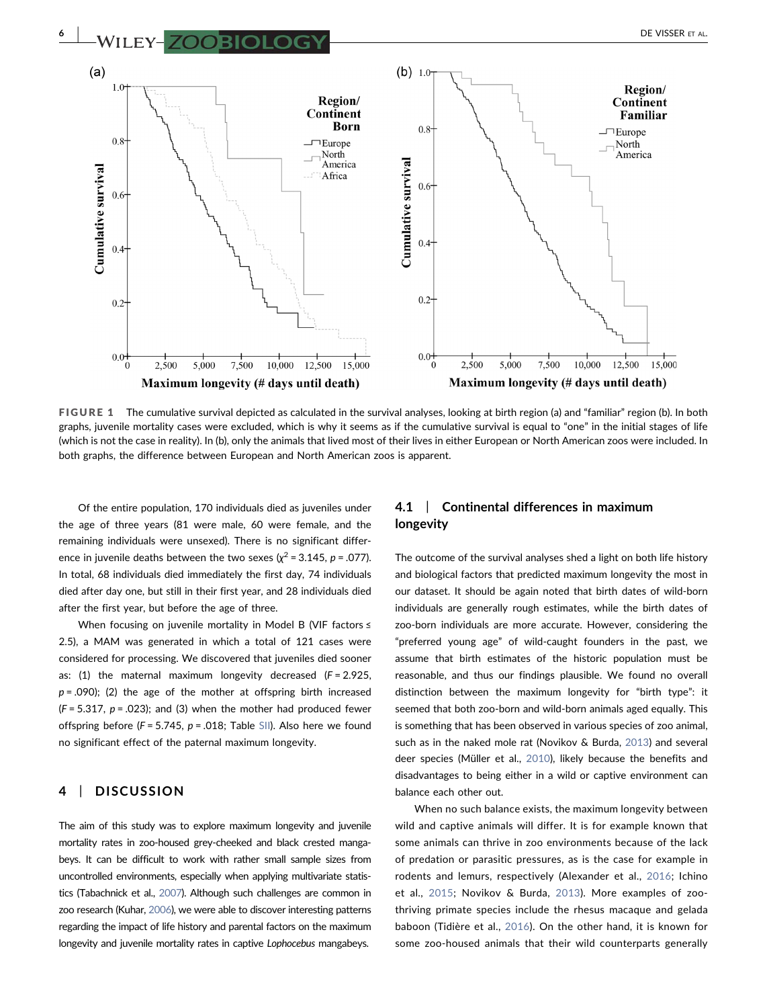<span id="page-5-0"></span>

FIGURE 1 The cumulative survival depicted as calculated in the survival analyses, looking at birth region (a) and "familiar" region (b). In both graphs, juvenile mortality cases were excluded, which is why it seems as if the cumulative survival is equal to "one" in the initial stages of life (which is not the case in reality). In (b), only the animals that lived most of their lives in either European or North American zoos were included. In both graphs, the difference between European and North American zoos is apparent.

Of the entire population, 170 individuals died as juveniles under the age of three years (81 were male, 60 were female, and the remaining individuals were unsexed). There is no significant difference in juvenile deaths between the two sexes ( $\chi^2$  = 3.145, p = .077). In total, 68 individuals died immediately the first day, 74 individuals died after day one, but still in their first year, and 28 individuals died after the first year, but before the age of three.

When focusing on juvenile mortality in Model B (VIF factors ≤ 2.5), a MAM was generated in which a total of 121 cases were considered for processing. We discovered that juveniles died sooner as:  $(1)$  the maternal maximum longevity decreased  $(F = 2.925,$  $p = .090$ ; (2) the age of the mother at offspring birth increased  $(F = 5.317, p = .023)$ ; and (3) when the mother had produced fewer offspring before ( $F = 5.745$ ,  $p = .018$ ; Table SII). Also here we found no significant effect of the paternal maximum longevity.

## 4 | DISCUSSION

The aim of this study was to explore maximum longevity and juvenile mortality rates in zoo-housed grey-cheeked and black crested mangabeys. It can be difficult to work with rather small sample sizes from uncontrolled environments, especially when applying multivariate statistics (Tabachnick et al., [2007](#page-10-16)). Although such challenges are common in zoo research (Kuhar, [2006](#page-9-20)), we were able to discover interesting patterns regarding the impact of life history and parental factors on the maximum longevity and juvenile mortality rates in captive Lophocebus mangabeys.

# 4.1 | Continental differences in maximum longevity

The outcome of the survival analyses shed a light on both life history and biological factors that predicted maximum longevity the most in our dataset. It should be again noted that birth dates of wild‐born individuals are generally rough estimates, while the birth dates of zoo‐born individuals are more accurate. However, considering the "preferred young age" of wild‐caught founders in the past, we assume that birth estimates of the historic population must be reasonable, and thus our findings plausible. We found no overall distinction between the maximum longevity for "birth type": it seemed that both zoo-born and wild-born animals aged equally. This is something that has been observed in various species of zoo animal, such as in the naked mole rat (Novikov & Burda, [2013\)](#page-9-21) and several deer species (Müller et al., [2010](#page-9-22)), likely because the benefits and disadvantages to being either in a wild or captive environment can balance each other out.

When no such balance exists, the maximum longevity between wild and captive animals will differ. It is for example known that some animals can thrive in zoo environments because of the lack of predation or parasitic pressures, as is the case for example in rodents and lemurs, respectively (Alexander et al., [2016](#page-8-12); Ichino et al., [2015](#page-9-23); Novikov & Burda, [2013\)](#page-9-21). More examples of zoothriving primate species include the rhesus macaque and gelada baboon (Tidière et al., [2016](#page-10-17)). On the other hand, it is known for some zoo‐housed animals that their wild counterparts generally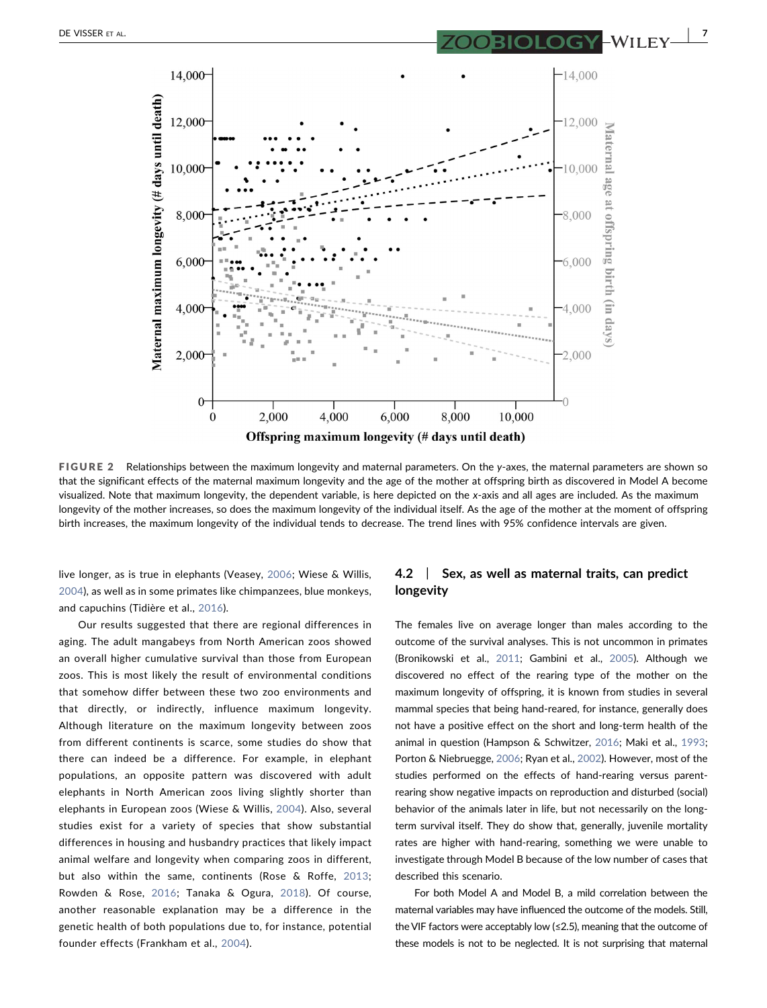<span id="page-6-0"></span>

FIGURE 2 Relationships between the maximum longevity and maternal parameters. On the y-axes, the maternal parameters are shown so that the significant effects of the maternal maximum longevity and the age of the mother at offspring birth as discovered in Model A become visualized. Note that maximum longevity, the dependent variable, is here depicted on the x‐axis and all ages are included. As the maximum longevity of the mother increases, so does the maximum longevity of the individual itself. As the age of the mother at the moment of offspring birth increases, the maximum longevity of the individual tends to decrease. The trend lines with 95% confidence intervals are given.

live longer, as is true in elephants (Veasey, [2006;](#page-10-18) Wiese & Willis, [2004\)](#page-10-19), as well as in some primates like chimpanzees, blue monkeys, and capuchins (Tidière et al., [2016](#page-10-17)).

Our results suggested that there are regional differences in aging. The adult mangabeys from North American zoos showed an overall higher cumulative survival than those from European zoos. This is most likely the result of environmental conditions that somehow differ between these two zoo environments and that directly, or indirectly, influence maximum longevity. Although literature on the maximum longevity between zoos from different continents is scarce, some studies do show that there can indeed be a difference. For example, in elephant populations, an opposite pattern was discovered with adult elephants in North American zoos living slightly shorter than elephants in European zoos (Wiese & Willis, [2004](#page-10-19)). Also, several studies exist for a variety of species that show substantial differences in housing and husbandry practices that likely impact animal welfare and longevity when comparing zoos in different, but also within the same, continents (Rose & Roffe, [2013](#page-10-20); Rowden & Rose, [2016](#page-10-21); Tanaka & Ogura, [2018](#page-10-22)). Of course, another reasonable explanation may be a difference in the genetic health of both populations due to, for instance, potential founder effects (Frankham et al., [2004](#page-9-0)).

# 4.2 | Sex, as well as maternal traits, can predict longevity

The females live on average longer than males according to the outcome of the survival analyses. This is not uncommon in primates (Bronikowski et al., [2011;](#page-8-13) Gambini et al., [2005\)](#page-9-24). Although we discovered no effect of the rearing type of the mother on the maximum longevity of offspring, it is known from studies in several mammal species that being hand‐reared, for instance, generally does not have a positive effect on the short and long‐term health of the animal in question (Hampson & Schwitzer, [2016;](#page-9-25) Maki et al., [1993;](#page-9-26) Porton & Niebruegge, [2006;](#page-10-23) Ryan et al., [2002\)](#page-10-24). However, most of the studies performed on the effects of hand‐rearing versus parent‐ rearing show negative impacts on reproduction and disturbed (social) behavior of the animals later in life, but not necessarily on the longterm survival itself. They do show that, generally, juvenile mortality rates are higher with hand‐rearing, something we were unable to investigate through Model B because of the low number of cases that described this scenario.

For both Model A and Model B, a mild correlation between the maternal variables may have influenced the outcome of the models. Still, the VIF factors were acceptably low (≤2.5), meaning that the outcome of these models is not to be neglected. It is not surprising that maternal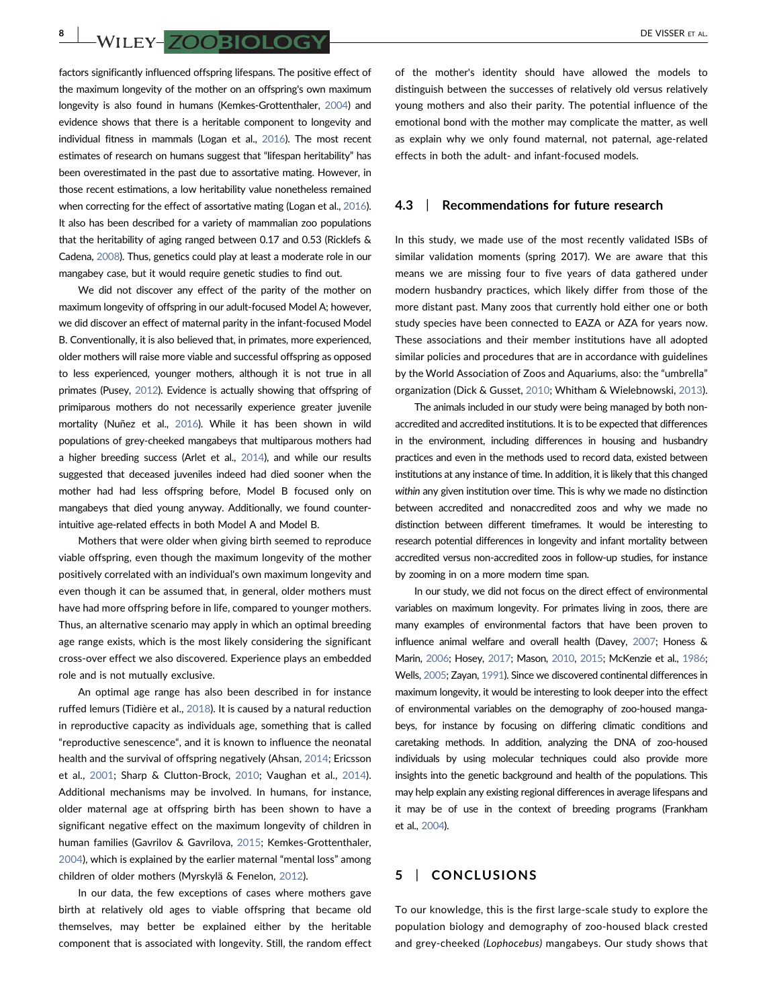**8** WILEY-**700BIOLOGY** DE VISSER ET AL.

factors significantly influenced offspring lifespans. The positive effect of the maximum longevity of the mother on an offspring's own maximum longevity is also found in humans (Kemkes‐Grottenthaler, [2004](#page-9-27)) and evidence shows that there is a heritable component to longevity and individual fitness in mammals (Logan et al., [2016](#page-9-28)). The most recent estimates of research on humans suggest that "lifespan heritability" has been overestimated in the past due to assortative mating. However, in those recent estimations, a low heritability value nonetheless remained when correcting for the effect of assortative mating (Logan et al., [2016\)](#page-9-28). It also has been described for a variety of mammalian zoo populations that the heritability of aging ranged between 0.17 and 0.53 (Ricklefs & Cadena, [2008\)](#page-10-25). Thus, genetics could play at least a moderate role in our mangabey case, but it would require genetic studies to find out.

We did not discover any effect of the parity of the mother on maximum longevity of offspring in our adult‐focused Model A; however, we did discover an effect of maternal parity in the infant‐focused Model B. Conventionally, it is also believed that, in primates, more experienced, older mothers will raise more viable and successful offspring as opposed to less experienced, younger mothers, although it is not true in all primates (Pusey, [2012\)](#page-10-26). Evidence is actually showing that offspring of primiparous mothers do not necessarily experience greater juvenile mortality (Nuñez et al., [2016\)](#page-9-29). While it has been shown in wild populations of grey‐cheeked mangabeys that multiparous mothers had a higher breeding success (Arlet et al., [2014](#page-8-14)), and while our results suggested that deceased juveniles indeed had died sooner when the mother had had less offspring before, Model B focused only on mangabeys that died young anyway. Additionally, we found counterintuitive age‐related effects in both Model A and Model B.

Mothers that were older when giving birth seemed to reproduce viable offspring, even though the maximum longevity of the mother positively correlated with an individual's own maximum longevity and even though it can be assumed that, in general, older mothers must have had more offspring before in life, compared to younger mothers. Thus, an alternative scenario may apply in which an optimal breeding age range exists, which is the most likely considering the significant cross‐over effect we also discovered. Experience plays an embedded role and is not mutually exclusive.

An optimal age range has also been described in for instance ruffed lemurs (Tidière et al., [2018](#page-10-27)). It is caused by a natural reduction in reproductive capacity as individuals age, something that is called "reproductive senescence", and it is known to influence the neonatal health and the survival of offspring negatively (Ahsan, [2014](#page-8-15); Ericsson et al., [2001](#page-9-30); Sharp & Clutton‐Brock, [2010](#page-10-28); Vaughan et al., [2014](#page-10-29)). Additional mechanisms may be involved. In humans, for instance, older maternal age at offspring birth has been shown to have a significant negative effect on the maximum longevity of children in human families (Gavrilov & Gavrilova, [2015;](#page-9-31) Kemkes‐Grottenthaler, [2004](#page-9-27)), which is explained by the earlier maternal "mental loss" among children of older mothers (Myrskylä & Fenelon, [2012](#page-9-32)).

In our data, the few exceptions of cases where mothers gave birth at relatively old ages to viable offspring that became old themselves, may better be explained either by the heritable component that is associated with longevity. Still, the random effect of the mother's identity should have allowed the models to distinguish between the successes of relatively old versus relatively young mothers and also their parity. The potential influence of the emotional bond with the mother may complicate the matter, as well as explain why we only found maternal, not paternal, age-related effects in both the adult‐ and infant‐focused models.

# 4.3 | Recommendations for future research

In this study, we made use of the most recently validated ISBs of similar validation moments (spring 2017). We are aware that this means we are missing four to five years of data gathered under modern husbandry practices, which likely differ from those of the more distant past. Many zoos that currently hold either one or both study species have been connected to EAZA or AZA for years now. These associations and their member institutions have all adopted similar policies and procedures that are in accordance with guidelines by the World Association of Zoos and Aquariums, also: the "umbrella" organization (Dick & Gusset, [2010;](#page-9-33) Whitham & Wielebnowski, [2013\)](#page-10-1).

The animals included in our study were being managed by both non‐ accredited and accredited institutions. It is to be expected that differences in the environment, including differences in housing and husbandry practices and even in the methods used to record data, existed between institutions at any instance of time. In addition, it is likely that this changed within any given institution over time. This is why we made no distinction between accredited and nonaccredited zoos and why we made no distinction between different timeframes. It would be interesting to research potential differences in longevity and infant mortality between accredited versus non‐accredited zoos in follow‐up studies, for instance by zooming in on a more modern time span.

In our study, we did not focus on the direct effect of environmental variables on maximum longevity. For primates living in zoos, there are many examples of environmental factors that have been proven to influence animal welfare and overall health (Davey, [2007;](#page-8-16) Honess & Marin, [2006](#page-9-34); Hosey, [2017;](#page-9-35) Mason, [2010](#page-9-36), [2015](#page-9-37); McKenzie et al., [1986;](#page-9-38) Wells, [2005;](#page-10-30) Zayan, [1991\)](#page-10-31). Since we discovered continental differences in maximum longevity, it would be interesting to look deeper into the effect of environmental variables on the demography of zoo-housed mangabeys, for instance by focusing on differing climatic conditions and caretaking methods. In addition, analyzing the DNA of zoo‐housed individuals by using molecular techniques could also provide more insights into the genetic background and health of the populations. This may help explain any existing regional differences in average lifespans and it may be of use in the context of breeding programs (Frankham et al., [2004\)](#page-9-0).

# 5 | CONCLUSIONS

To our knowledge, this is the first large‐scale study to explore the population biology and demography of zoo‐housed black crested and grey-cheeked (Lophocebus) mangabeys. Our study shows that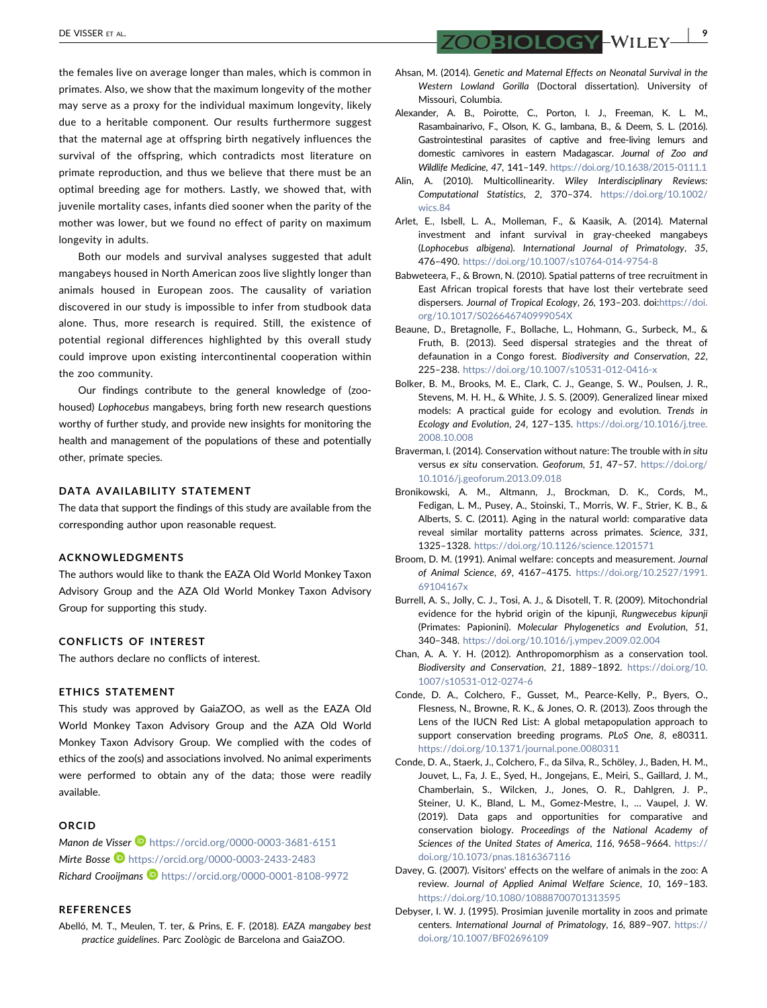the females live on average longer than males, which is common in primates. Also, we show that the maximum longevity of the mother may serve as a proxy for the individual maximum longevity, likely due to a heritable component. Our results furthermore suggest that the maternal age at offspring birth negatively influences the survival of the offspring, which contradicts most literature on primate reproduction, and thus we believe that there must be an optimal breeding age for mothers. Lastly, we showed that, with juvenile mortality cases, infants died sooner when the parity of the mother was lower, but we found no effect of parity on maximum longevity in adults.

Both our models and survival analyses suggested that adult mangabeys housed in North American zoos live slightly longer than animals housed in European zoos. The causality of variation discovered in our study is impossible to infer from studbook data alone. Thus, more research is required. Still, the existence of potential regional differences highlighted by this overall study could improve upon existing intercontinental cooperation within the zoo community.

Our findings contribute to the general knowledge of (zoo‐ housed) Lophocebus mangabeys, bring forth new research questions worthy of further study, and provide new insights for monitoring the health and management of the populations of these and potentially other, primate species.

#### DATA AVAILABILITY STATEMENT

The data that support the findings of this study are available from the corresponding author upon reasonable request.

#### ACKNOWLEDGMENTS

The authors would like to thank the EAZA Old World Monkey Taxon Advisory Group and the AZA Old World Monkey Taxon Advisory Group for supporting this study.

#### CONFLICTS OF INTEREST

The authors declare no conflicts of interest.

#### ETHICS STATEMENT

This study was approved by GaiaZOO, as well as the EAZA Old World Monkey Taxon Advisory Group and the AZA Old World Monkey Taxon Advisory Group. We complied with the codes of ethics of the zoo(s) and associations involved. No animal experiments were performed to obtain any of the data; those were readily available.

#### ORCID

Manon de Visser  $\blacksquare$  <https://orcid.org/0000-0003-3681-6151> Mirte Bosse **b** <https://orcid.org/0000-0003-2433-2483> Richard Crooijmans <https://orcid.org/0000-0001-8108-9972>

#### REFERENCES

<span id="page-8-9"></span>Abelló, M. T., Meulen, T. ter, & Prins, E. F. (2018). EAZA mangabey best practice guidelines. Parc Zoològic de Barcelona and GaiaZOO.

DE VISSER ET AL. | 9

- <span id="page-8-15"></span>Ahsan, M. (2014). Genetic and Maternal Effects on Neonatal Survival in the Western Lowland Gorilla (Doctoral dissertation). University of Missouri, Columbia.
- <span id="page-8-12"></span>Alexander, A. B., Poirotte, C., Porton, I. J., Freeman, K. L. M., Rasambainarivo, F., Olson, K. G., Iambana, B., & Deem, S. L. (2016). Gastrointestinal parasites of captive and free‐living lemurs and domestic carnivores in eastern Madagascar. Journal of Zoo and Wildlife Medicine, 47, 141–149. [https://doi.org/10.1638/2015](https://doi.org/10.1638/2015-0111.1)‐0111.1
- <span id="page-8-11"></span>Alin, A. (2010). Multicollinearity. Wiley Interdisciplinary Reviews: Computational Statistics, 2, 370–374. [https://doi.org/10.1002/](https://doi.org/10.1002/wics.84) [wics.84](https://doi.org/10.1002/wics.84)
- <span id="page-8-14"></span>Arlet, E., Isbell, L. A., Molleman, F., & Kaasik, A. (2014). Maternal investment and infant survival in gray-cheeked mangabeys (Lophocebus albigena). International Journal of Primatology, 35, 476–490. [https://doi.org/10.1007/s10764](https://doi.org/10.1007/s10764-014-9754-8)‐014‐9754‐8
- <span id="page-8-4"></span>Babweteera, F., & Brown, N. (2010). Spatial patterns of tree recruitment in East African tropical forests that have lost their vertebrate seed dispersers. Journal of Tropical Ecology, 26, 193–203. doi:[https://doi.](https://doi.org/10.1017/S026646740999054X) [org/10.1017/S026646740999054X](https://doi.org/10.1017/S026646740999054X)
- <span id="page-8-5"></span>Beaune, D., Bretagnolle, F., Bollache, L., Hohmann, G., Surbeck, M., & Fruth, B. (2013). Seed dispersal strategies and the threat of defaunation in a Congo forest. Biodiversity and Conservation, 22, 225–238. [https://doi.org/10.1007/s10531](https://doi.org/10.1007/s10531-012-0416-x)‐012‐0416‐x
- <span id="page-8-10"></span>Bolker, B. M., Brooks, M. E., Clark, C. J., Geange, S. W., Poulsen, J. R., Stevens, M. H. H., & White, J. S. S. (2009). Generalized linear mixed models: A practical guide for ecology and evolution. Trends in Ecology and Evolution, 24, 127–135. [https://doi.org/10.1016/j.tree.](https://doi.org/10.1016/j.tree.2008.10.008) [2008.10.008](https://doi.org/10.1016/j.tree.2008.10.008)
- <span id="page-8-0"></span>Braverman, I. (2014). Conservation without nature: The trouble with in situ versus ex situ conservation. Geoforum, 51, 47–57. [https://doi.org/](https://doi.org/10.1016/j.geoforum.2013.09.018) [10.1016/j.geoforum.2013.09.018](https://doi.org/10.1016/j.geoforum.2013.09.018)
- <span id="page-8-13"></span>Bronikowski, A. M., Altmann, J., Brockman, D. K., Cords, M., Fedigan, L. M., Pusey, A., Stoinski, T., Morris, W. F., Strier, K. B., & Alberts, S. C. (2011). Aging in the natural world: comparative data reveal similar mortality patterns across primates. Science, 331, 1325–1328. <https://doi.org/10.1126/science.1201571>
- <span id="page-8-7"></span>Broom, D. M. (1991). Animal welfare: concepts and measurement. Journal of Animal Science, 69, 4167–4175. [https://doi.org/10.2527/1991.](https://doi.org/10.2527/1991.69104167x) [69104167x](https://doi.org/10.2527/1991.69104167x)
- <span id="page-8-3"></span>Burrell, A. S., Jolly, C. J., Tosi, A. J., & Disotell, T. R. (2009). Mitochondrial evidence for the hybrid origin of the kipunji, Rungwecebus kipunji (Primates: Papionini). Molecular Phylogenetics and Evolution, 51, 340–348. <https://doi.org/10.1016/j.ympev.2009.02.004>
- <span id="page-8-6"></span>Chan, A. A. Y. H. (2012). Anthropomorphism as a conservation tool. Biodiversity and Conservation, 21, 1889–1892. [https://doi.org/10.](https://doi.org/10.1007/s10531-012-0274-6) [1007/s10531](https://doi.org/10.1007/s10531-012-0274-6)‐012‐0274‐6
- <span id="page-8-1"></span>Conde, D. A., Colchero, F., Gusset, M., Pearce‐Kelly, P., Byers, O., Flesness, N., Browne, R. K., & Jones, O. R. (2013). Zoos through the Lens of the IUCN Red List: A global metapopulation approach to support conservation breeding programs. PLoS One, 8, e80311. <https://doi.org/10.1371/journal.pone.0080311>
- <span id="page-8-2"></span>Conde, D. A., Staerk, J., Colchero, F., da Silva, R., Schöley, J., Baden, H. M., Jouvet, L., Fa, J. E., Syed, H., Jongejans, E., Meiri, S., Gaillard, J. M., Chamberlain, S., Wilcken, J., Jones, O. R., Dahlgren, J. P., Steiner, U. K., Bland, L. M., Gomez‐Mestre, I., … Vaupel, J. W. (2019). Data gaps and opportunities for comparative and conservation biology. Proceedings of the National Academy of Sciences of the United States of America, 116, 9658–9664. [https://](https://doi.org/10.1073/pnas.1816367116) [doi.org/10.1073/pnas.1816367116](https://doi.org/10.1073/pnas.1816367116)
- <span id="page-8-16"></span>Davey, G. (2007). Visitors' effects on the welfare of animals in the zoo: A review. Journal of Applied Animal Welfare Science, 10, 169–183. <https://doi.org/10.1080/10888700701313595>
- <span id="page-8-8"></span>Debyser, I. W. J. (1995). Prosimian juvenile mortality in zoos and primate centers. International Journal of Primatology, 16, 889–907. [https://](https://doi.org/10.1007/BF02696109) [doi.org/10.1007/BF02696109](https://doi.org/10.1007/BF02696109)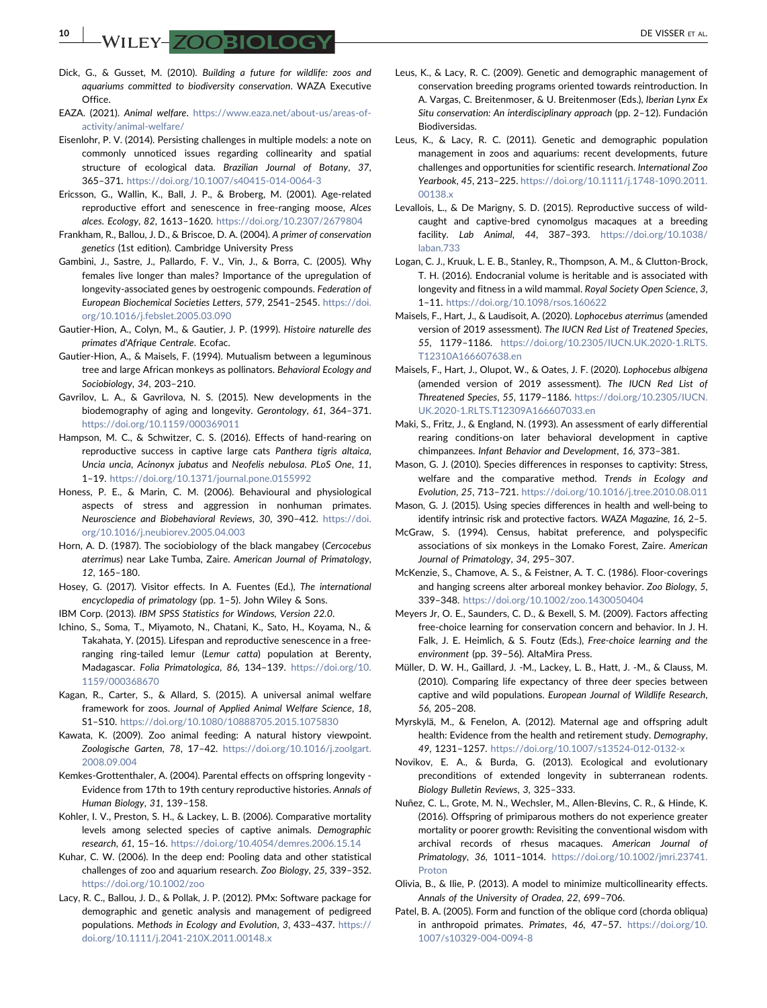$\blacksquare$   $\blacksquare$   $\blacksquare$   $\blacksquare$   $\blacksquare$   $\blacksquare$   $\blacksquare$   $\blacksquare$   $\blacksquare$   $\blacksquare$   $\blacksquare$   $\blacksquare$   $\blacksquare$   $\blacksquare$   $\blacksquare$   $\blacksquare$   $\blacksquare$   $\blacksquare$   $\blacksquare$   $\blacksquare$   $\blacksquare$   $\blacksquare$   $\blacksquare$   $\blacksquare$   $\blacksquare$   $\blacksquare$   $\blacksquare$   $\blacksquare$   $\blacksquare$   $\blacksquare$   $\blacksquare$ 

- <span id="page-9-33"></span>Dick, G., & Gusset, M. (2010). Building a future for wildlife: zoos and aquariums committed to biodiversity conservation. WAZA Executive **Office**
- <span id="page-9-13"></span>EAZA. (2021). Animal welfare. [https://www.eaza.net/about](https://www.eaza.net/about-us/areas-of-activity/animal-welfare/)‐us/areas‐of‐ [activity/animal](https://www.eaza.net/about-us/areas-of-activity/animal-welfare/)‐welfare/
- <span id="page-9-18"></span>Eisenlohr, P. V. (2014). Persisting challenges in multiple models: a note on commonly unnoticed issues regarding collinearity and spatial structure of ecological data. Brazilian Journal of Botany, 37, 365–371. [https://doi.org/10.1007/s40415](https://doi.org/10.1007/s40415-014-0064-3)‐014‐0064‐3
- <span id="page-9-30"></span>Ericsson, G., Wallin, K., Ball, J. P., & Broberg, M. (2001). Age‐related reproductive effort and senescence in free-ranging moose, Alces alces. Ecology, 82, 1613–1620. <https://doi.org/10.2307/2679804>
- <span id="page-9-0"></span>Frankham, R., Ballou, J. D., & Briscoe, D. A. (2004). A primer of conservation genetics (1st edition). Cambridge University Press
- <span id="page-9-24"></span>Gambini, J., Sastre, J., Pallardo, F. V., Vin, J., & Borra, C. (2005). Why females live longer than males? Importance of the upregulation of longevity‐associated genes by oestrogenic compounds. Federation of European Biochemical Societies Letters, 579, 2541–2545. [https://doi.](https://doi.org/10.1016/j.febslet.2005.03.090) [org/10.1016/j.febslet.2005.03.090](https://doi.org/10.1016/j.febslet.2005.03.090)
- <span id="page-9-5"></span>Gautier‐Hion, A., Colyn, M., & Gautier, J. P. (1999). Histoire naturelle des primates d'Afrique Centrale. Ecofac.
- <span id="page-9-8"></span>Gautier‐Hion, A., & Maisels, F. (1994). Mutualism between a leguminous tree and large African monkeys as pollinators. Behavioral Ecology and Sociobiology, 34, 203–210.
- <span id="page-9-31"></span>Gavrilov, L. A., & Gavrilova, N. S. (2015). New developments in the biodemography of aging and longevity. Gerontology, 61, 364–371. <https://doi.org/10.1159/000369011>
- <span id="page-9-25"></span>Hampson, M. C., & Schwitzer, C. S. (2016). Effects of hand-rearing on reproductive success in captive large cats Panthera tigris altaica, Uncia uncia, Acinonyx jubatus and Neofelis nebulosa. PLoS One, 11, 1–19. <https://doi.org/10.1371/journal.pone.0155992>
- <span id="page-9-34"></span>Honess, P. E., & Marin, C. M. (2006). Behavioural and physiological aspects of stress and aggression in nonhuman primates. Neuroscience and Biobehavioral Reviews, 30, 390–412. [https://doi.](https://doi.org/10.1016/j.neubiorev.2005.04.003) [org/10.1016/j.neubiorev.2005.04.003](https://doi.org/10.1016/j.neubiorev.2005.04.003)
- <span id="page-9-9"></span>Horn, A. D. (1987). The sociobiology of the black mangabey (Cercocebus aterrimus) near Lake Tumba, Zaire. American Journal of Primatology, 12, 165–180.
- <span id="page-9-35"></span>Hosey, G. (2017). Visitor effects. In A. Fuentes (Ed.), The international encyclopedia of primatology (pp. 1–5). John Wiley & Sons.
- <span id="page-9-17"></span>IBM Corp. (2013). IBM SPSS Statistics for Windows, Version 22.0.
- <span id="page-9-23"></span>Ichino, S., Soma, T., Miyamoto, N., Chatani, K., Sato, H., Koyama, N., & Takahata, Y. (2015). Lifespan and reproductive senescence in a free‐ ranging ring-tailed lemur (Lemur catta) population at Berenty, Madagascar. Folia Primatologica, 86, 134–139. [https://doi.org/10.](https://doi.org/10.1159/000368670) [1159/000368670](https://doi.org/10.1159/000368670)
- <span id="page-9-1"></span>Kagan, R., Carter, S., & Allard, S. (2015). A universal animal welfare framework for zoos. Journal of Applied Animal Welfare Science, 18, S1–S10. <https://doi.org/10.1080/10888705.2015.1075830>
- <span id="page-9-2"></span>Kawata, K. (2009). Zoo animal feeding: A natural history viewpoint. Zoologische Garten, 78, 17–42. [https://doi.org/10.1016/j.zoolgart.](https://doi.org/10.1016/j.zoolgart.2008.09.004) [2008.09.004](https://doi.org/10.1016/j.zoolgart.2008.09.004)
- <span id="page-9-27"></span>Kemkes‐Grottenthaler, A. (2004). Parental effects on offspring longevity ‐ Evidence from 17th to 19th century reproductive histories. Annals of Human Biology, 31, 139–158.
- <span id="page-9-14"></span>Kohler, I. V., Preston, S. H., & Lackey, L. B. (2006). Comparative mortality levels among selected species of captive animals. Demographic research, 61, 15–16. <https://doi.org/10.4054/demres.2006.15.14>
- <span id="page-9-20"></span>Kuhar, C. W. (2006). In the deep end: Pooling data and other statistical challenges of zoo and aquarium research. Zoo Biology, 25, 339–352. <https://doi.org/10.1002/zoo>
- <span id="page-9-16"></span>Lacy, R. C., Ballou, J. D., & Pollak, J. P. (2012). PMx: Software package for demographic and genetic analysis and management of pedigreed populations. Methods in Ecology and Evolution, 3, 433–437. [https://](https://doi.org/10.1111/j.2041-210X.2011.00148.x) [doi.org/10.1111/j.2041](https://doi.org/10.1111/j.2041-210X.2011.00148.x)‐210X.2011.00148.x
- <span id="page-9-4"></span>Leus, K., & Lacy, R. C. (2009). Genetic and demographic management of conservation breeding programs oriented towards reintroduction. In A. Vargas, C. Breitenmoser, & U. Breitenmoser (Eds.), Iberian Lynx Ex Situ conservation: An interdisciplinary approach (pp. 2–12). Fundación Biodiversidas.
- <span id="page-9-3"></span>Leus, K., & Lacy, R. C. (2011). Genetic and demographic population management in zoos and aquariums: recent developments, future challenges and opportunities for scientific research. International Zoo Yearbook, 45, 213–225. [https://doi.org/10.1111/j.1748](https://doi.org/10.1111/j.1748-1090.2011.00138.x)‐1090.2011. [00138.x](https://doi.org/10.1111/j.1748-1090.2011.00138.x)
- <span id="page-9-15"></span>Levallois, L., & De Marigny, S. D. (2015). Reproductive success of wild‐ caught and captive‐bred cynomolgus macaques at a breeding facility. Lab Animal, 44, 387–393. [https://doi.org/10.1038/](https://doi.org/10.1038/laban.733) [laban.733](https://doi.org/10.1038/laban.733)
- <span id="page-9-28"></span>Logan, C. J., Kruuk, L. E. B., Stanley, R., Thompson, A. M., & Clutton‐Brock, T. H. (2016). Endocranial volume is heritable and is associated with longevity and fitness in a wild mammal. Royal Society Open Science, 3, 1–11. <https://doi.org/10.1098/rsos.160622>
- <span id="page-9-7"></span>Maisels, F., Hart, J., & Laudisoit, A. (2020). Lophocebus aterrimus (amended version of 2019 assessment). The IUCN Red List of Treatened Species, 55, 1179–1186. [https://doi.org/10.2305/IUCN.UK.2020](https://doi.org/10.2305/IUCN.UK.2020-1.RLTS.T12310A166607638.en)‐1.RLTS. [T12310A166607638.en](https://doi.org/10.2305/IUCN.UK.2020-1.RLTS.T12310A166607638.en)
- <span id="page-9-11"></span>Maisels, F., Hart, J., Olupot, W., & Oates, J. F. (2020). Lophocebus albigena (amended version of 2019 assessment). The IUCN Red List of Threatened Species, 55, 1179–1186. [https://doi.org/10.2305/IUCN.](https://doi.org/10.2305/IUCN.UK.2020-1.RLTS.T12309A166607033.en) UK.2020‐[1.RLTS.T12309A166607033.en](https://doi.org/10.2305/IUCN.UK.2020-1.RLTS.T12309A166607033.en)
- <span id="page-9-26"></span>Maki, S., Fritz, J., & England, N. (1993). An assessment of early differential rearing conditions‐on later behavioral development in captive chimpanzees. Infant Behavior and Development, 16, 373–381.
- <span id="page-9-36"></span>Mason, G. J. (2010). Species differences in responses to captivity: Stress, welfare and the comparative method. Trends in Ecology and Evolution, 25, 713–721. <https://doi.org/10.1016/j.tree.2010.08.011>
- <span id="page-9-37"></span>Mason, G. J. (2015). Using species differences in health and well‐being to identify intrinsic risk and protective factors. WAZA Magazine, 16, 2–5.
- <span id="page-9-10"></span>McGraw, S. (1994). Census, habitat preference, and polyspecific associations of six monkeys in the Lomako Forest, Zaire. American Journal of Primatology, 34, 295–307.
- <span id="page-9-38"></span>McKenzie, S., Chamove, A. S., & Feistner, A. T. C. (1986). Floor‐coverings and hanging screens alter arboreal monkey behavior. Zoo Biology, 5, 339–348. <https://doi.org/10.1002/zoo.1430050404>
- <span id="page-9-12"></span>Meyers Jr, O. E., Saunders, C. D., & Bexell, S. M. (2009). Factors affecting free-choice learning for conservation concern and behavior. In J. H. Falk, J. E. Heimlich, & S. Foutz (Eds.), Free‐choice learning and the environment (pp. 39–56). AltaMira Press.
- <span id="page-9-22"></span>Müller, D. W. H., Gaillard, J. ‐M., Lackey, L. B., Hatt, J. ‐M., & Clauss, M. (2010). Comparing life expectancy of three deer species between captive and wild populations. European Journal of Wildlife Research, 56, 205–208.
- <span id="page-9-32"></span>Myrskylä, M., & Fenelon, A. (2012). Maternal age and offspring adult health: Evidence from the health and retirement study. Demography, 49, 1231–1257. [https://doi.org/10.1007/s13524](https://doi.org/10.1007/s13524-012-0132-x)‐012‐0132‐x
- <span id="page-9-21"></span>Novikov, E. A., & Burda, G. (2013). Ecological and evolutionary preconditions of extended longevity in subterranean rodents. Biology Bulletin Reviews, 3, 325–333.
- <span id="page-9-29"></span>Nuñez, C. L., Grote, M. N., Wechsler, M., Allen‐Blevins, C. R., & Hinde, K. (2016). Offspring of primiparous mothers do not experience greater mortality or poorer growth: Revisiting the conventional wisdom with archival records of rhesus macaques. American Journal of Primatology, 36, 1011–1014. [https://doi.org/10.1002/jmri.23741.](https://doi.org/10.1002/jmri.23741.Proton) [Proton](https://doi.org/10.1002/jmri.23741.Proton)
- <span id="page-9-19"></span>Olivia, B., & Ilie, P. (2013). A model to minimize multicollinearity effects. Annals of the University of Oradea, 22, 699–706.
- <span id="page-9-6"></span>Patel, B. A. (2005). Form and function of the oblique cord (chorda obliqua) in anthropoid primates. Primates, 46, 47–57. [https://doi.org/10.](https://doi.org/10.1007/s10329-004-0094-8) [1007/s10329](https://doi.org/10.1007/s10329-004-0094-8)‐004‐0094‐8